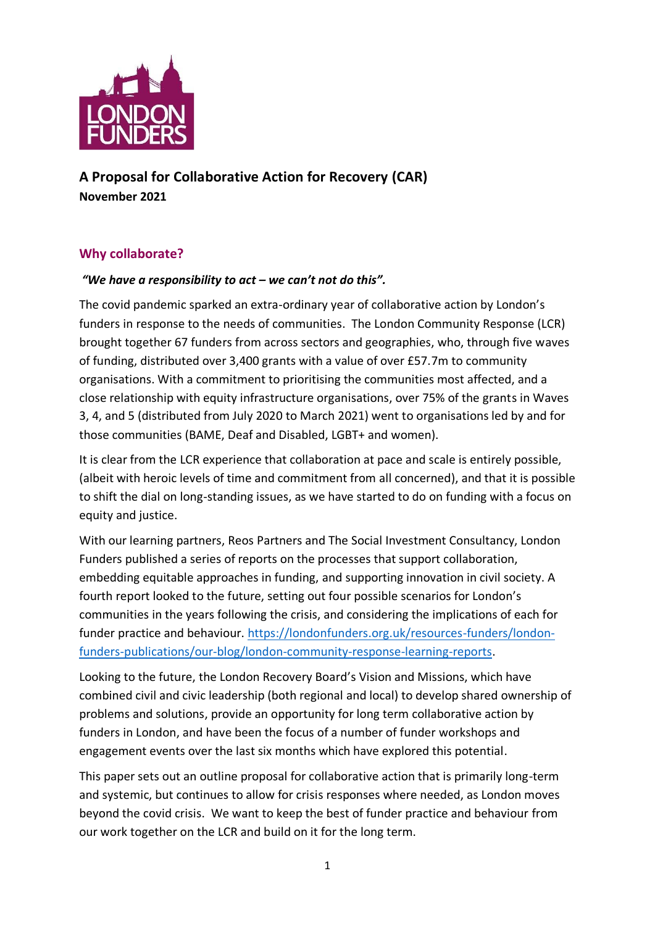

**A Proposal for Collaborative Action for Recovery (CAR) November 2021**

## **Why collaborate?**

#### *"We have a responsibility to act – we can't not do this".*

The covid pandemic sparked an extra-ordinary year of collaborative action by London's funders in response to the needs of communities. The London Community Response (LCR) brought together 67 funders from across sectors and geographies, who, through five waves of funding, distributed over 3,400 grants with a value of over £57.7m to community organisations. With a commitment to prioritising the communities most affected, and a close relationship with equity infrastructure organisations, over 75% of the grants in Waves 3, 4, and 5 (distributed from July 2020 to March 2021) went to organisations led by and for those communities (BAME, Deaf and Disabled, LGBT+ and women).

It is clear from the LCR experience that collaboration at pace and scale is entirely possible, (albeit with heroic levels of time and commitment from all concerned), and that it is possible to shift the dial on long-standing issues, as we have started to do on funding with a focus on equity and justice.

With our learning partners, Reos Partners and The Social Investment Consultancy, London Funders published a series of reports on the processes that support collaboration, embedding equitable approaches in funding, and supporting innovation in civil society. A fourth report looked to the future, setting out four possible scenarios for London's communities in the years following the crisis, and considering the implications of each for funder practice and behaviour. [https://londonfunders.org.uk/resources-funders/london](https://londonfunders.org.uk/resources-funders/london-funders-publications/our-blog/london-community-response-learning-reports)[funders-publications/our-blog/london-community-response-learning-reports.](https://londonfunders.org.uk/resources-funders/london-funders-publications/our-blog/london-community-response-learning-reports)

Looking to the future, the London Recovery Board's Vision and Missions, which have combined civil and civic leadership (both regional and local) to develop shared ownership of problems and solutions, provide an opportunity for long term collaborative action by funders in London, and have been the focus of a number of funder workshops and engagement events over the last six months which have explored this potential.

This paper sets out an outline proposal for collaborative action that is primarily long-term and systemic, but continues to allow for crisis responses where needed, as London moves beyond the covid crisis. We want to keep the best of funder practice and behaviour from our work together on the LCR and build on it for the long term.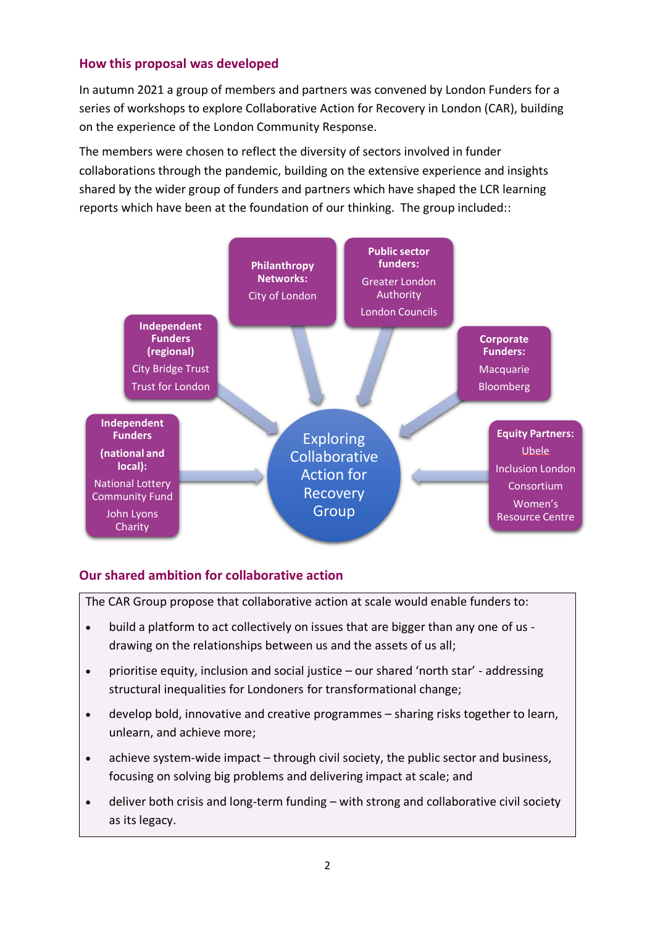### **How this proposal was developed**

In autumn 2021 a group of members and partners was convened by London Funders for a series of workshops to explore Collaborative Action for Recovery in London (CAR), building on the experience of the London Community Response.

The members were chosen to reflect the diversity of sectors involved in funder collaborations through the pandemic, building on the extensive experience and insights shared by the wider group of funders and partners which have shaped the LCR learning reports which have been at the foundation of our thinking. The group included::



## **Our shared ambition for collaborative action**

The CAR Group propose that collaborative action at scale would enable funders to:

- build a platform to act collectively on issues that are bigger than any one of us drawing on the relationships between us and the assets of us all;
- prioritise equity, inclusion and social justice our shared 'north star' addressing structural inequalities for Londoners for transformational change;
- develop bold, innovative and creative programmes sharing risks together to learn, unlearn, and achieve more;
- achieve system-wide impact through civil society, the public sector and business, focusing on solving big problems and delivering impact at scale; and
- deliver both crisis and long-term funding with strong and collaborative civil society as its legacy.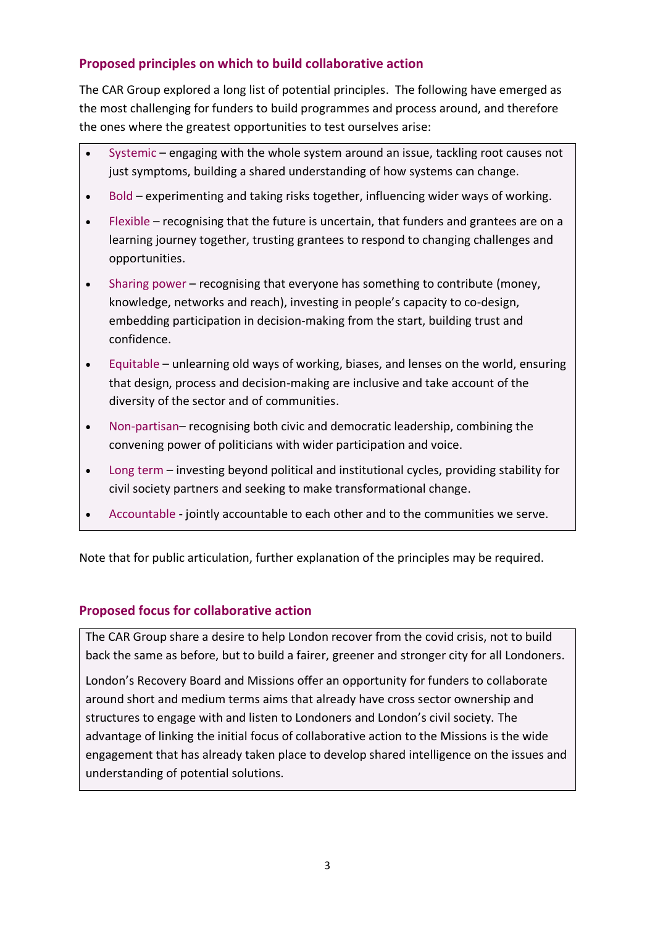## **Proposed principles on which to build collaborative action**

The CAR Group explored a long list of potential principles. The following have emerged as the most challenging for funders to build programmes and process around, and therefore the ones where the greatest opportunities to test ourselves arise:

- Systemic engaging with the whole system around an issue, tackling root causes not just symptoms, building a shared understanding of how systems can change.
- Bold experimenting and taking risks together, influencing wider ways of working.
- Flexible recognising that the future is uncertain, that funders and grantees are on a learning journey together, trusting grantees to respond to changing challenges and opportunities.
- Sharing power recognising that everyone has something to contribute (money, knowledge, networks and reach), investing in people's capacity to co-design, embedding participation in decision-making from the start, building trust and confidence.
- Equitable unlearning old ways of working, biases, and lenses on the world, ensuring that design, process and decision-making are inclusive and take account of the diversity of the sector and of communities.
- Non-partisan– recognising both civic and democratic leadership, combining the convening power of politicians with wider participation and voice.
- Long term investing beyond political and institutional cycles, providing stability for civil society partners and seeking to make transformational change.
- Accountable jointly accountable to each other and to the communities we serve.

Note that for public articulation, further explanation of the principles may be required.

#### **Proposed focus for collaborative action**

The CAR Group share a desire to help London recover from the covid crisis, not to build back the same as before, but to build a fairer, greener and stronger city for all Londoners.

London's Recovery Board and Missions offer an opportunity for funders to collaborate around short and medium terms aims that already have cross sector ownership and structures to engage with and listen to Londoners and London's civil society. The advantage of linking the initial focus of collaborative action to the Missions is the wide engagement that has already taken place to develop shared intelligence on the issues and understanding of potential solutions.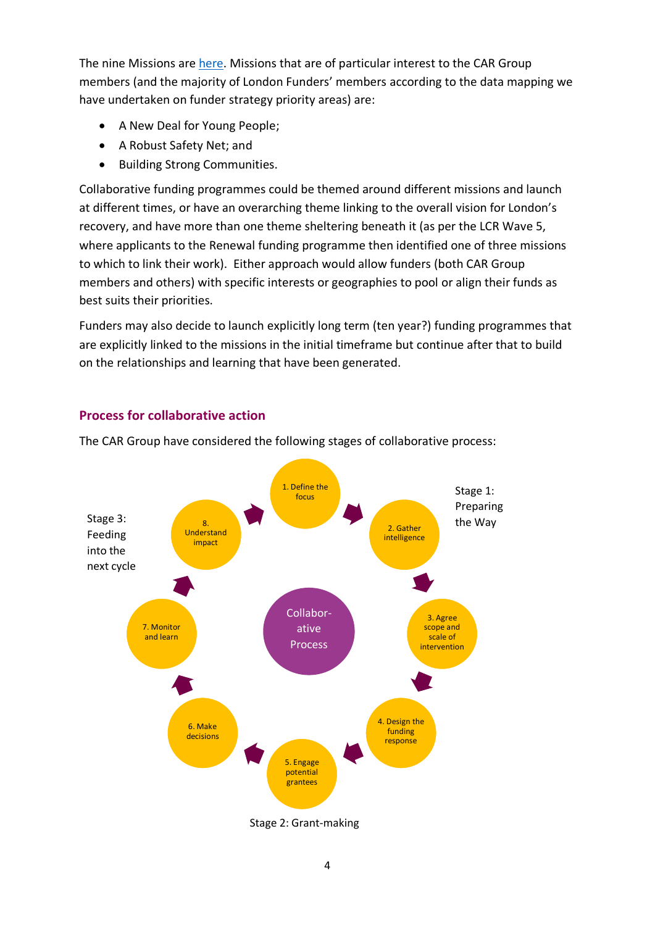The nine Missions ar[e here.](https://www.london.gov.uk/coronavirus/londons-recovery-coronavirus-crisis/recovery-context) Missions that are of particular interest to the CAR Group members (and the majority of London Funders' members according to the data mapping we have undertaken on funder strategy priority areas) are:

- A New Deal for Young People;
- A Robust Safety Net; and
- Building Strong Communities.

Collaborative funding programmes could be themed around different missions and launch at different times, or have an overarching theme linking to the overall vision for London's recovery, and have more than one theme sheltering beneath it (as per the LCR Wave 5, where applicants to the Renewal funding programme then identified one of three missions to which to link their work). Either approach would allow funders (both CAR Group members and others) with specific interests or geographies to pool or align their funds as best suits their priorities.

Funders may also decide to launch explicitly long term (ten year?) funding programmes that are explicitly linked to the missions in the initial timeframe but continue after that to build on the relationships and learning that have been generated.

# **Process for collaborative action**



The CAR Group have considered the following stages of collaborative process:

Stage 2: Grant-making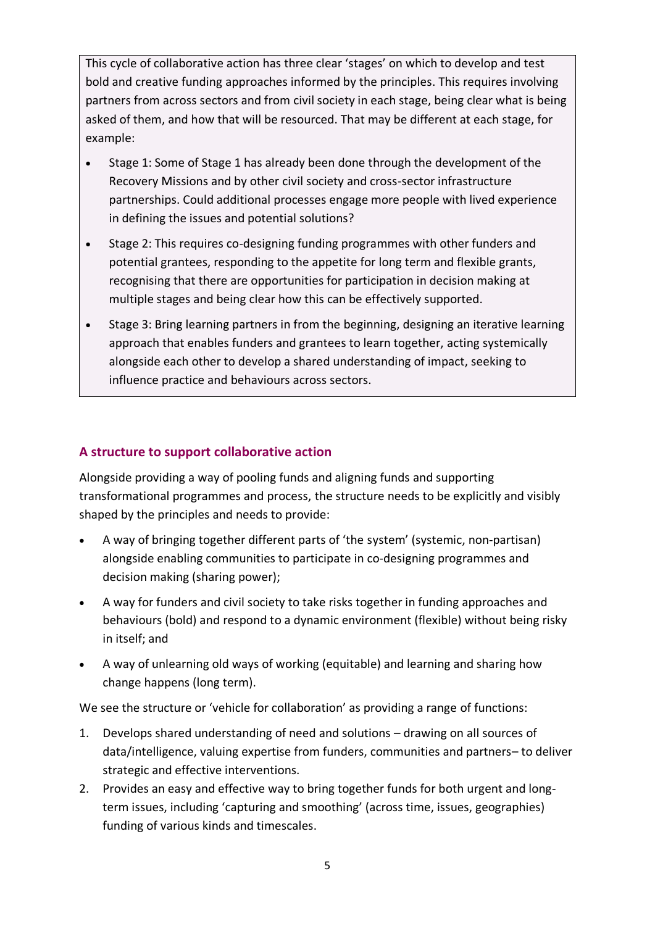This cycle of collaborative action has three clear 'stages' on which to develop and test bold and creative funding approaches informed by the principles. This requires involving partners from across sectors and from civil society in each stage, being clear what is being asked of them, and how that will be resourced. That may be different at each stage, for example:

- Stage 1: Some of Stage 1 has already been done through the development of the Recovery Missions and by other civil society and cross-sector infrastructure partnerships. Could additional processes engage more people with lived experience in defining the issues and potential solutions?
- Stage 2: This requires co-designing funding programmes with other funders and potential grantees, responding to the appetite for long term and flexible grants, recognising that there are opportunities for participation in decision making at multiple stages and being clear how this can be effectively supported.
- Stage 3: Bring learning partners in from the beginning, designing an iterative learning approach that enables funders and grantees to learn together, acting systemically alongside each other to develop a shared understanding of impact, seeking to influence practice and behaviours across sectors.

### **A structure to support collaborative action**

Alongside providing a way of pooling funds and aligning funds and supporting transformational programmes and process, the structure needs to be explicitly and visibly shaped by the principles and needs to provide:

- A way of bringing together different parts of 'the system' (systemic, non-partisan) alongside enabling communities to participate in co-designing programmes and decision making (sharing power);
- A way for funders and civil society to take risks together in funding approaches and behaviours (bold) and respond to a dynamic environment (flexible) without being risky in itself; and
- A way of unlearning old ways of working (equitable) and learning and sharing how change happens (long term).

We see the structure or 'vehicle for collaboration' as providing a range of functions:

- 1. Develops shared understanding of need and solutions drawing on all sources of data/intelligence, valuing expertise from funders, communities and partners– to deliver strategic and effective interventions.
- 2. Provides an easy and effective way to bring together funds for both urgent and longterm issues, including 'capturing and smoothing' (across time, issues, geographies) funding of various kinds and timescales.